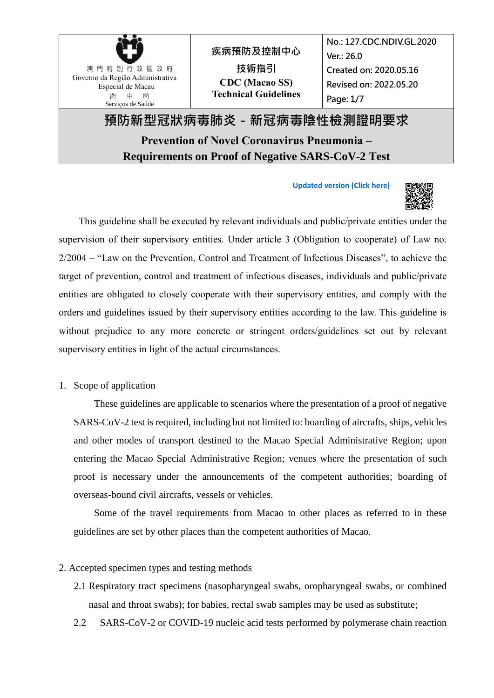

**[Updated version \(Click here\)](https://www.ssm.gov.mo/docs2/file/pv/kziQIa8Gj55MLb6s7Y2csg/en)**



This guideline shall be executed by relevant individuals and public/private entities under the supervision of their supervisory entities. Under article 3 (Obligation to cooperate) of Law no. 2/2004 – "Law on the Prevention, Control and Treatment of Infectious Diseases", to achieve the target of prevention, control and treatment of infectious diseases, individuals and public/private entities are obligated to closely cooperate with their supervisory entities, and comply with the orders and guidelines issued by their supervisory entities according to the law. This guideline is without prejudice to any more concrete or stringent orders/guidelines set out by relevant supervisory entities in light of the actual circumstances.

1. Scope of application

These guidelines are applicable to scenarios where the presentation of a proof of negative SARS-CoV-2 test is required, including but not limited to: boarding of aircrafts, ships, vehicles and other modes of transport destined to the Macao Special Administrative Region; upon entering the Macao Special Administrative Region; venues where the presentation of such proof is necessary under the announcements of the competent authorities; boarding of overseas-bound civil aircrafts, vessels or vehicles.

Some of the travel requirements from Macao to other places as referred to in these guidelines are set by other places than the competent authorities of Macao.

#### 2. Accepted specimen types and testing methods

- 2.1 Respiratory tract specimens (nasopharyngeal swabs, oropharyngeal swabs, or combined nasal and throat swabs); for babies, rectal swab samples may be used as substitute;
- 2.2 SARS-CoV-2 or COVID-19 nucleic acid tests performed by polymerase chain reaction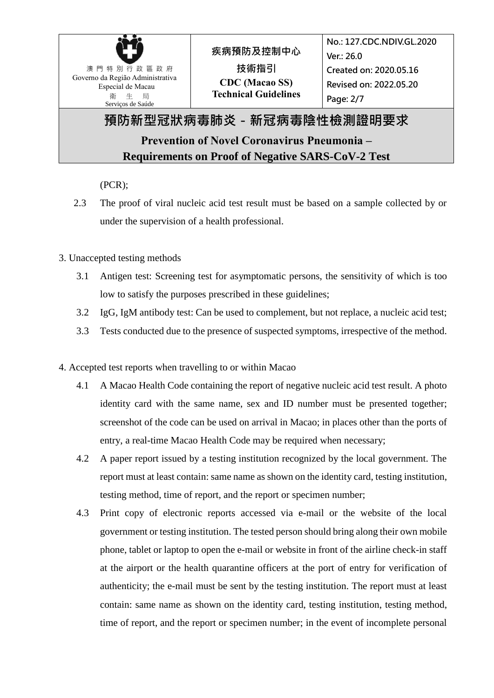

#### (PCR);

- 2.3 The proof of viral nucleic acid test result must be based on a sample collected by or under the supervision of a health professional.
- 3. Unaccepted testing methods
	- 3.1 Antigen test: Screening test for asymptomatic persons, the sensitivity of which is too low to satisfy the purposes prescribed in these guidelines;
	- 3.2 IgG, IgM antibody test: Can be used to complement, but not replace, a nucleic acid test;
	- 3.3 Tests conducted due to the presence of suspected symptoms, irrespective of the method.
- 4. Accepted test reports when travelling to or within Macao
	- 4.1 A Macao Health Code containing the report of negative nucleic acid test result. A photo identity card with the same name, sex and ID number must be presented together; screenshot of the code can be used on arrival in Macao; in places other than the ports of entry, a real-time Macao Health Code may be required when necessary;
	- 4.2 A paper report issued by a testing institution recognized by the local government. The report must at least contain: same name as shown on the identity card, testing institution, testing method, time of report, and the report or specimen number;
	- 4.3 Print copy of electronic reports accessed via e-mail or the website of the local government or testing institution. The tested person should bring along their own mobile phone, tablet or laptop to open the e-mail or website in front of the airline check-in staff at the airport or the health quarantine officers at the port of entry for verification of authenticity; the e-mail must be sent by the testing institution. The report must at least contain: same name as shown on the identity card, testing institution, testing method, time of report, and the report or specimen number; in the event of incomplete personal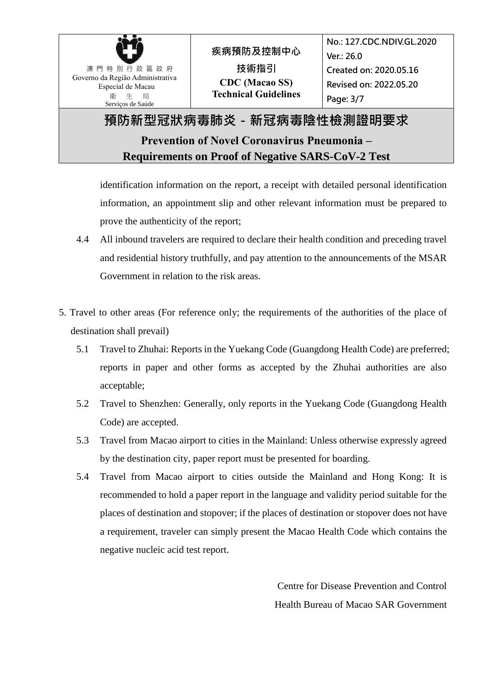

identification information on the report, a receipt with detailed personal identification information, an appointment slip and other relevant information must be prepared to prove the authenticity of the report;

- 4.4 All inbound travelers are required to declare their health condition and preceding travel and residential history truthfully, and pay attention to the announcements of the MSAR Government in relation to the risk areas.
- 5. Travel to other areas (For reference only; the requirements of the authorities of the place of destination shall prevail)
	- 5.1 Travel to Zhuhai: Reports in the Yuekang Code (Guangdong Health Code) are preferred; reports in paper and other forms as accepted by the Zhuhai authorities are also acceptable;
	- 5.2 Travel to Shenzhen: Generally, only reports in the Yuekang Code (Guangdong Health Code) are accepted.
	- 5.3 Travel from Macao airport to cities in the Mainland: Unless otherwise expressly agreed by the destination city, paper report must be presented for boarding.
	- 5.4 Travel from Macao airport to cities outside the Mainland and Hong Kong: It is recommended to hold a paper report in the language and validity period suitable for the places of destination and stopover; if the places of destination or stopover does not have a requirement, traveler can simply present the Macao Health Code which contains the negative nucleic acid test report.

Centre for Disease Prevention and Control Health Bureau of Macao SAR Government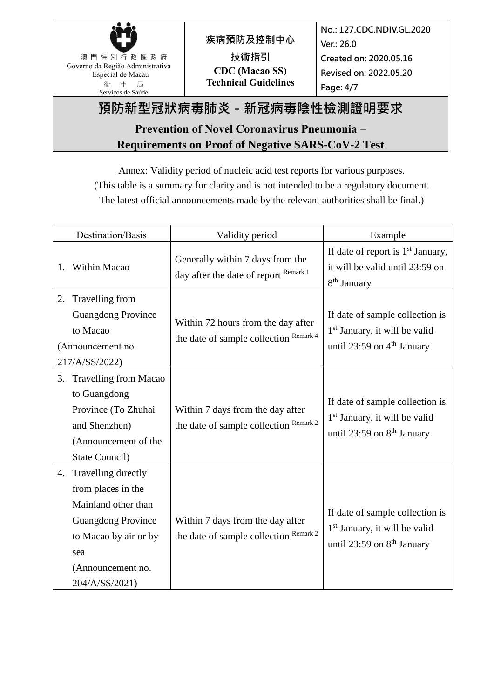

## **預防新型冠狀病毒肺炎-新冠病毒陰性檢測證明要求**

## **Prevention of Novel Coronavirus Pneumonia – Requirements on Proof of Negative SARS-CoV-2 Test**

Annex: Validity period of nucleic acid test reports for various purposes. (This table is a summary for clarity and is not intended to be a regulatory document. The latest official announcements made by the relevant authorities shall be final.)

Destination/Basis Validity period Example 1. Within Macao Generally within 7 days from the day after the date of report Remark 1 If date of report is  $1<sup>st</sup>$  January, it will be valid until 23:59 on 8<sup>th</sup> January 2. Travelling from Guangdong Province to Macao (Announcement no. 217/A/SS/2022) Within 72 hours from the day after the date of sample collection Remark 4 If date of sample collection is 1 st January, it will be valid until 23:59 on 4<sup>th</sup> January 3. Travelling from Macao to Guangdong Province (To Zhuhai and Shenzhen) (Announcement of the State Council) Within 7 days from the day after the date of sample collection Remark 2 If date of sample collection is 1 st January, it will be valid until 23:59 on 8<sup>th</sup> January 4. Travelling directly from places in the Mainland other than Guangdong Province to Macao by air or by sea (Announcement no. 204/A/SS/2021) Within 7 days from the day after the date of sample collection Remark 2 If date of sample collection is 1 st January, it will be valid until 23:59 on  $8<sup>th</sup>$  January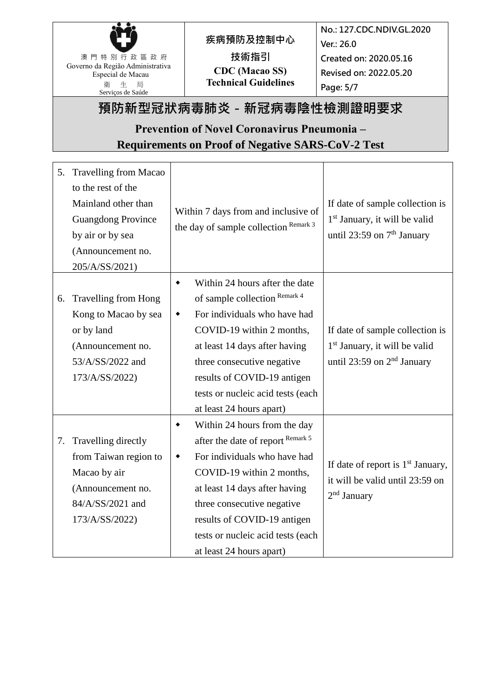

# **疾病預防及控制中心 技術指引 CDC (Macao SS) Technical Guidelines**

**No.: 127.CDC.NDIV.GL.2020 Ver.: 26.0 Created on: 2020.05.16 Revised on: 2022.05.20 Page: 5/7**

# **預防新型冠狀病毒肺炎-新冠病毒陰性檢測證明要求**

## **Prevention of Novel Coronavirus Pneumonia – Requirements on Proof of Negative SARS-CoV-2 Test**

| 5. | <b>Travelling from Macao</b><br>to the rest of the<br>Mainland other than<br><b>Guangdong Province</b><br>by air or by sea<br>(Announcement no.<br>205/A/SS/2021) | Within 7 days from and inclusive of<br>the day of sample collection Remark 3 | If date of sample collection is<br>1 <sup>st</sup> January, it will be valid<br>until 23:59 on $7th$ January |
|----|-------------------------------------------------------------------------------------------------------------------------------------------------------------------|------------------------------------------------------------------------------|--------------------------------------------------------------------------------------------------------------|
|    |                                                                                                                                                                   | Within 24 hours after the date<br>$\bullet$                                  |                                                                                                              |
| 6. | <b>Travelling from Hong</b>                                                                                                                                       | of sample collection Remark 4                                                |                                                                                                              |
|    | Kong to Macao by sea                                                                                                                                              | For individuals who have had<br>٠                                            |                                                                                                              |
|    | or by land                                                                                                                                                        | COVID-19 within 2 months,                                                    | If date of sample collection is                                                                              |
|    | (Announcement no.                                                                                                                                                 | at least 14 days after having                                                | 1 <sup>st</sup> January, it will be valid                                                                    |
|    | 53/A/SS/2022 and                                                                                                                                                  | three consecutive negative                                                   | until 23:59 on $2nd$ January                                                                                 |
|    | 173/A/SS/2022)                                                                                                                                                    | results of COVID-19 antigen                                                  |                                                                                                              |
|    |                                                                                                                                                                   | tests or nucleic acid tests (each                                            |                                                                                                              |
|    |                                                                                                                                                                   | at least 24 hours apart)                                                     |                                                                                                              |
|    |                                                                                                                                                                   | Within 24 hours from the day<br>٠                                            |                                                                                                              |
| 7. | Travelling directly                                                                                                                                               | after the date of report Remark 5                                            | If date of report is $1st$ January,<br>it will be valid until 23:59 on<br>$2nd$ January                      |
|    | from Taiwan region to                                                                                                                                             | For individuals who have had<br>٠                                            |                                                                                                              |
|    | Macao by air                                                                                                                                                      | COVID-19 within 2 months,                                                    |                                                                                                              |
|    | (Announcement no.                                                                                                                                                 | at least 14 days after having                                                |                                                                                                              |
|    | 84/A/SS/2021 and                                                                                                                                                  | three consecutive negative                                                   |                                                                                                              |
|    | 173/A/SS/2022)                                                                                                                                                    | results of COVID-19 antigen                                                  |                                                                                                              |
|    |                                                                                                                                                                   | tests or nucleic acid tests (each                                            |                                                                                                              |
|    |                                                                                                                                                                   | at least 24 hours apart)                                                     |                                                                                                              |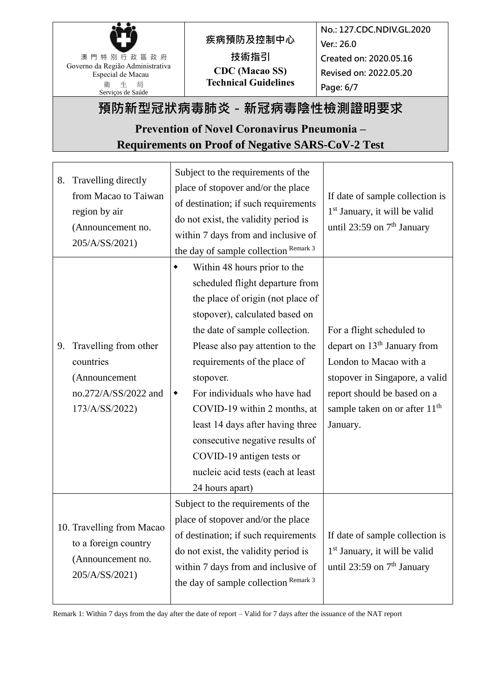

**疾病預防及控制中心 技術指引 CDC (Macao SS) Technical Guidelines**

**No.: 127.CDC.NDIV.GL.2020 Ver.: 26.0 Created on: 2020.05.16 Revised on: 2022.05.20 Page: 6/7**

# **預防新型冠狀病毒肺炎-新冠病毒陰性檢測證明要求**

## **Prevention of Novel Coronavirus Pneumonia – Requirements on Proof of Negative SARS-CoV-2 Test**

| 8. | Travelling directly<br>from Macao to Taiwan<br>region by air<br>(Announcement no.<br>205/A/SS/2021) | Subject to the requirements of the<br>place of stopover and/or the place<br>of destination; if such requirements<br>do not exist, the validity period is<br>within 7 days from and inclusive of<br>the day of sample collection Remark 3                                                                                                                                                                                                                                                   | If date of sample collection is<br>1 <sup>st</sup> January, it will be valid<br>until 23:59 on 7 <sup>th</sup> January                                                                                                   |
|----|-----------------------------------------------------------------------------------------------------|--------------------------------------------------------------------------------------------------------------------------------------------------------------------------------------------------------------------------------------------------------------------------------------------------------------------------------------------------------------------------------------------------------------------------------------------------------------------------------------------|--------------------------------------------------------------------------------------------------------------------------------------------------------------------------------------------------------------------------|
| 9. | Travelling from other<br>countries<br>(Announcement<br>no.272/A/SS/2022 and<br>173/A/SS/2022)       | Within 48 hours prior to the<br>scheduled flight departure from<br>the place of origin (not place of<br>stopover), calculated based on<br>the date of sample collection.<br>Please also pay attention to the<br>requirements of the place of<br>stopover.<br>For individuals who have had<br>٠<br>COVID-19 within 2 months, at<br>least 14 days after having three<br>consecutive negative results of<br>COVID-19 antigen tests or<br>nucleic acid tests (each at least<br>24 hours apart) | For a flight scheduled to<br>depart on 13 <sup>th</sup> January from<br>London to Macao with a<br>stopover in Singapore, a valid<br>report should be based on a<br>sample taken on or after 11 <sup>th</sup><br>January. |
|    | 10. Travelling from Macao<br>to a foreign country<br>(Announcement no.<br>205/A/SS/2021)            | Subject to the requirements of the<br>place of stopover and/or the place<br>of destination; if such requirements<br>do not exist, the validity period is<br>within 7 days from and inclusive of<br>the day of sample collection Remark 3                                                                                                                                                                                                                                                   | If date of sample collection is<br>1 <sup>st</sup> January, it will be valid<br>until 23:59 on $7th$ January                                                                                                             |

Remark 1: Within 7 days from the day after the date of report – Valid for 7 days after the issuance of the NAT report